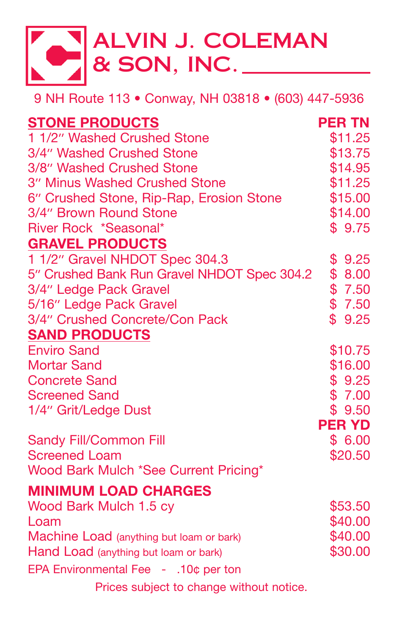

9 NH Route 113 • Conway, NH 03818 • (603) 447-5936

| <b>STONE PRODUCTS</b>                       | <b>PER TN</b> |
|---------------------------------------------|---------------|
| 1 1/2" Washed Crushed Stone                 | \$11.25       |
| 3/4" Washed Crushed Stone                   | \$13.75       |
| 3/8" Washed Crushed Stone                   | \$14.95       |
| 3" Minus Washed Crushed Stone               | \$11.25       |
| 6" Crushed Stone, Rip-Rap, Erosion Stone    | \$15.00       |
| 3/4" Brown Round Stone                      | \$14.00       |
| River Rock *Seasonal*                       | \$9.75        |
| <b>GRAVEL PRODUCTS</b>                      |               |
| 1 1/2" Gravel NHDOT Spec 304.3              | \$9.25        |
| 5" Crushed Bank Run Gravel NHDOT Spec 304.2 | \$8.00        |
| 3/4" Ledge Pack Gravel                      | \$7.50        |
| 5/16" Ledge Pack Gravel                     | \$7.50        |
| 3/4" Crushed Concrete/Con Pack              | \$9.25        |
| <b>SAND PRODUCTS</b>                        |               |
| <b>Enviro Sand</b>                          | \$10.75       |
| <b>Mortar Sand</b>                          | \$16.00       |
| <b>Concrete Sand</b>                        | \$9.25        |
| <b>Screened Sand</b>                        | \$7.00        |
| 1/4" Grit/Ledge Dust                        | \$9.50        |
|                                             | <b>PER YD</b> |
| <b>Sandy Fill/Common Fill</b>               | \$6.00        |
| <b>Screened Loam</b>                        | \$20.50       |
| Wood Bark Mulch *See Current Pricing*       |               |
| <b>MINIMUM LOAD CHARGES</b>                 |               |
| Wood Bark Mulch 1.5 cy                      | \$53.50       |
| Loam                                        | \$40.00       |
| Machine Load (anything but loam or bark)    | \$40.00       |
| Hand Load (anything but loam or bark)       | \$30.00       |
| EPA Environmental Fee - .10¢ per ton        |               |
| Prices subject to change without notice.    |               |